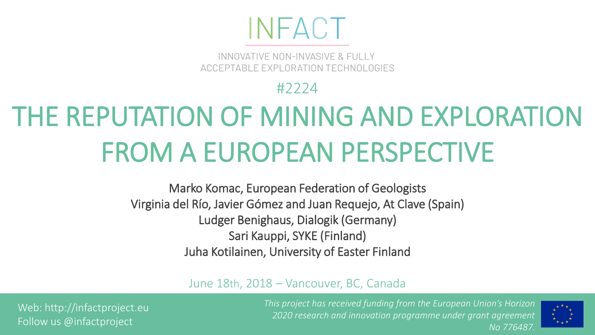## INFACT

INNOVATIVE NON-INVASIVE & FULLY ACCEPTABLE EXPLORATION TECHNOLOGIES

#2224

## THE REPUTATION OF MINING AND EXPLORATION FROM A EUROPEAN PERSPECTIVE

Marko Komac, European Federation of Geologists Virginia del Río, Javier Gómez and Juan Requejo, At Clave (Spain) Ludger Benighaus, Dialogik (Germany) Sari Kauppi, SYKE (Finland) Juha Kotilainen, University of Easter Finland

June 18th, 2018 – Vancouver, BC, Canada

Web: http://infactproject.eu Follow us @infactproject

*This project has received funding from the European Union's Horizon 2020 research and innovation programme under grant agreement No 776487.*

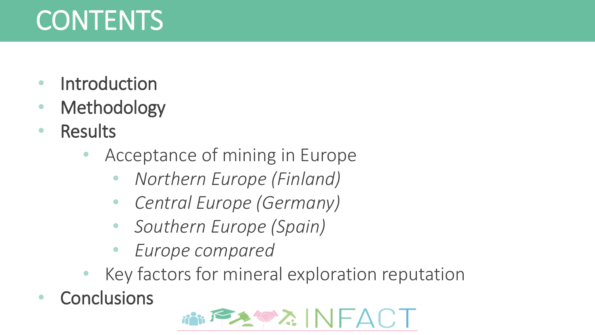## **CONTENTS**

- **Introduction**
- **Methodology**
- **Results** 
	- Acceptance of mining in Europe
		- *Northern Europe (Finland)*
		- *Central Europe (Germany)*
		- *Southern Europe (Spain)*
		- *Europe compared*
	- Key factors for mineral exploration reputation
- **Conclusions**

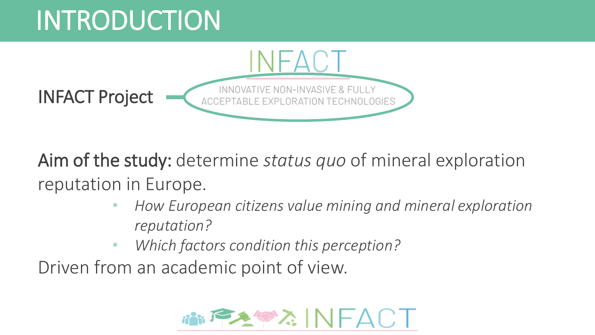## INTRODUCTION



Aim of the study: determine *status quo* of mineral exploration reputation in Europe.

- *How European citizens value mining and mineral exploration reputation?*
- *Which factors condition this perception?*

Driven from an academic point of view.

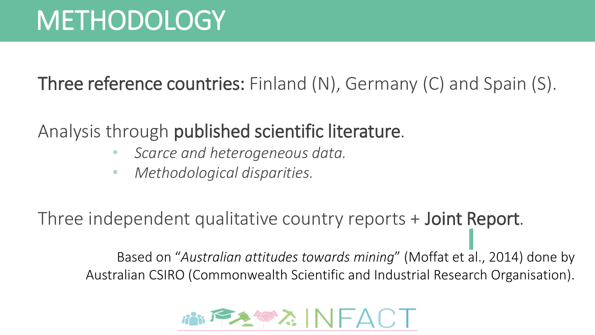Three reference countries: Finland (N), Germany (C) and Spain (S).

Analysis through published scientific literature.

- *Scarce and heterogeneous data.*
- *Methodological disparities.*

Three independent qualitative country reports + Joint Report.

Based on "*Australian attitudes towards mining*" (Moffat et al., 2014) done by Australian CSIRO (Commonwealth Scientific and Industrial Research Organisation).

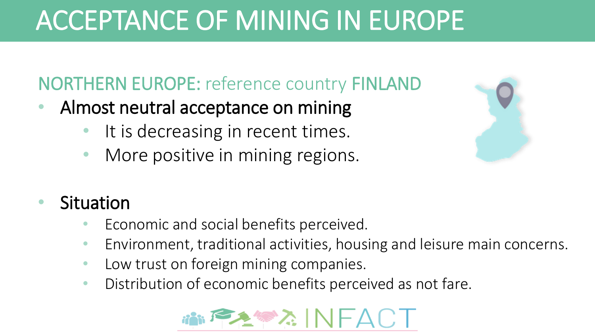#### NORTHERN EUROPE: reference country FINLAND

- Almost neutral acceptance on mining
	- It is decreasing in recent times.
	- More positive in mining regions.



#### **Situation**

- Economic and social benefits perceived.
- Environment, traditional activities, housing and leisure main concerns.
- Low trust on foreign mining companies.
- Distribution of economic benefits perceived as not fare.

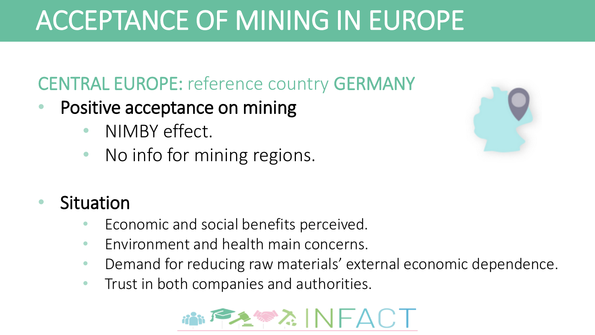#### CENTRAL EUROPE: reference country GERMANY

- Positive acceptance on mining
	- NIMBY effect.
	- No info for mining regions.



#### **Situation**

- Economic and social benefits perceived.
- Environment and health main concerns.
- Demand for reducing raw materials' external economic dependence.
- Trust in both companies and authorities.

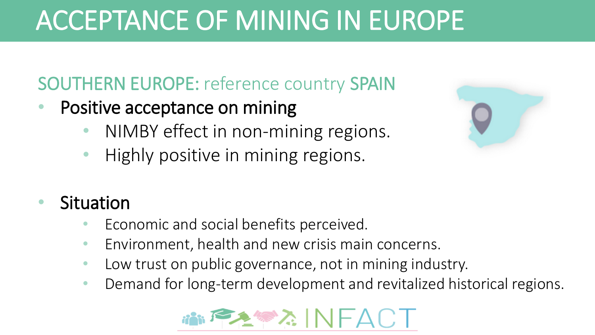#### SOUTHERN EUROPE: reference country SPAIN

- Positive acceptance on mining
	- NIMBY effect in non-mining regions.
	- Highly positive in mining regions.



#### **Situation**

- Economic and social benefits perceived.
- Environment, health and new crisis main concerns.
- Low trust on public governance, not in mining industry.
- Demand for long-term development and revitalized historical regions.

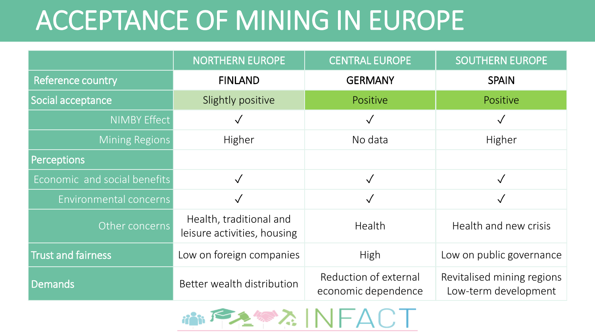|                              | <b>NORTHERN EUROPE</b>                                 | <b>CENTRAL EUROPE</b>                        | <b>SOUTHERN EUROPE</b>                             |
|------------------------------|--------------------------------------------------------|----------------------------------------------|----------------------------------------------------|
| Reference country            | <b>FINLAND</b>                                         | <b>GERMANY</b>                               | <b>SPAIN</b>                                       |
| Social acceptance            | Slightly positive                                      | Positive                                     | Positive                                           |
| <b>NIMBY Effect</b>          |                                                        |                                              |                                                    |
| <b>Mining Regions</b>        | Higher                                                 | No data                                      | Higher                                             |
| <b>Perceptions</b>           |                                                        |                                              |                                                    |
| Economic and social benefits |                                                        |                                              |                                                    |
| Environmental concerns       |                                                        |                                              |                                                    |
| Other concerns               | Health, traditional and<br>leisure activities, housing | Health                                       | Health and new crisis                              |
| Trust and fairness           | Low on foreign companies                               | High                                         | Low on public governance                           |
| <b>Demands</b>               | Better wealth distribution                             | Reduction of external<br>economic dependence | Revitalised mining regions<br>Low-term development |

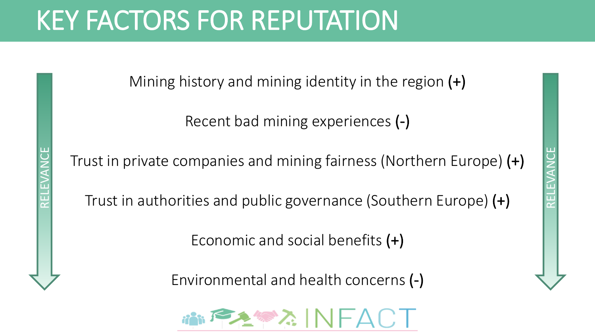### KEY FACTORS FOR REPUTATION

RELEVANCE

Mining history and mining identity in the region  $(+)$ 

Recent bad mining experiences (-)

Trust in private companies and mining fairness (Northern Europe) (+)

Trust in authorities and public governance (Southern Europe) (+)

Economic and social benefits (+)

Environmental and health concerns (-)

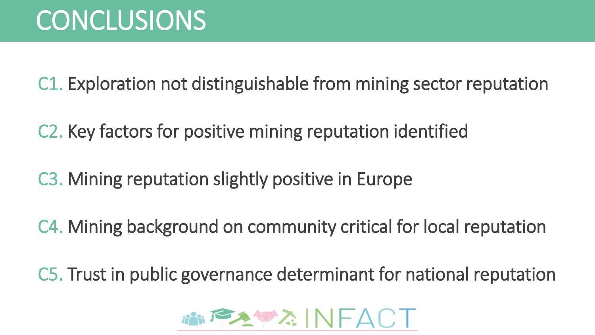C1. Exploration not distinguishable from mining sector reputation

C2. Key factors for positive mining reputation identified

C3. Mining reputation slightly positive in Europe

C4. Mining background on community critical for local reputation

C5. Trust in public governance determinant for national reputation